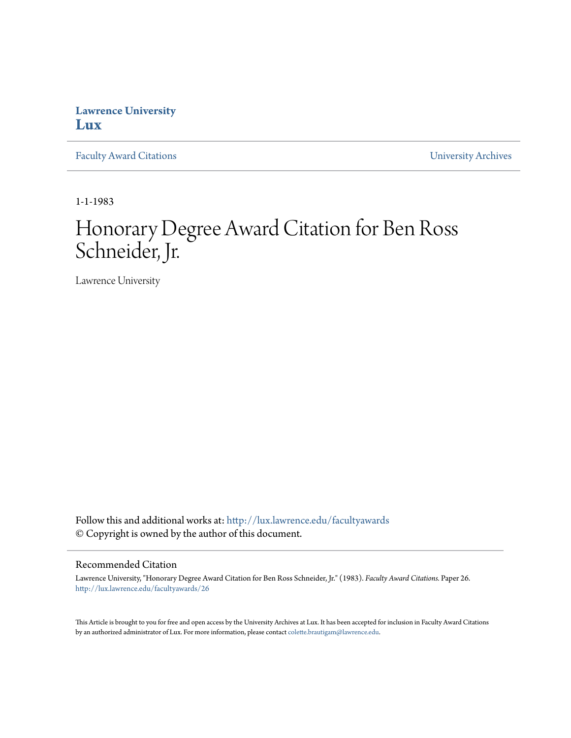## **Lawrence University [Lux](http://lux.lawrence.edu?utm_source=lux.lawrence.edu%2Ffacultyawards%2F26&utm_medium=PDF&utm_campaign=PDFCoverPages)**

[Faculty Award Citations](http://lux.lawrence.edu/facultyawards?utm_source=lux.lawrence.edu%2Ffacultyawards%2F26&utm_medium=PDF&utm_campaign=PDFCoverPages) **Example 2018** [University Archives](http://lux.lawrence.edu/archives?utm_source=lux.lawrence.edu%2Ffacultyawards%2F26&utm_medium=PDF&utm_campaign=PDFCoverPages)

1-1-1983

# Honorary Degree Award Citation for Ben Ross Schneider, Jr.

Lawrence University

Follow this and additional works at: [http://lux.lawrence.edu/facultyawards](http://lux.lawrence.edu/facultyawards?utm_source=lux.lawrence.edu%2Ffacultyawards%2F26&utm_medium=PDF&utm_campaign=PDFCoverPages) © Copyright is owned by the author of this document.

#### Recommended Citation

Lawrence University, "Honorary Degree Award Citation for Ben Ross Schneider, Jr." (1983). *Faculty Award Citations.* Paper 26. [http://lux.lawrence.edu/facultyawards/26](http://lux.lawrence.edu/facultyawards/26?utm_source=lux.lawrence.edu%2Ffacultyawards%2F26&utm_medium=PDF&utm_campaign=PDFCoverPages)

This Article is brought to you for free and open access by the University Archives at Lux. It has been accepted for inclusion in Faculty Award Citations by an authorized administrator of Lux. For more information, please contact [colette.brautigam@lawrence.edu](mailto:colette.brautigam@lawrence.edu).